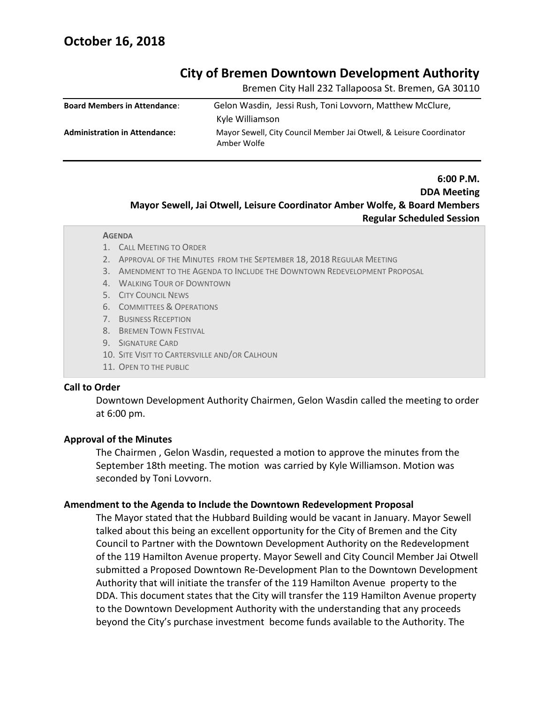# **City of Bremen Downtown Development Authority**

Bremen City Hall 232 Tallapoosa St. Bremen, GA 30110

| <b>Board Members in Attendance:</b>  | Gelon Wasdin, Jessi Rush, Toni Lovvorn, Matthew McClure,            |
|--------------------------------------|---------------------------------------------------------------------|
|                                      | Kyle Williamson                                                     |
| <b>Administration in Attendance:</b> | Mayor Sewell, City Council Member Jai Otwell, & Leisure Coordinator |
|                                      | Amber Wolfe                                                         |

# **6:00 P.M. DDA Meeting Mayor Sewell, Jai Otwell, Leisure Coordinator Amber Wolfe, & Board Members Regular Scheduled Session**

#### **AGENDA**

- 1. CALL MEETING TO ORDER
- 2. APPROVAL OF THE MINUTES FROM THE SEPTEMBER 18, 2018 REGULAR MEETING
- 3. AMENDMENT TO THE AGENDA TO INCLUDE THE DOWNTOWN REDEVELOPMENT PROPOSAL
- 4. WALKING TOUR OF DOWNTOWN
- 5. CITY COUNCIL NEWS
- 6. COMMITTEES & OPERATIONS
- 7. BUSINESS RECEPTION
- 8. BREMEN TOWN FESTIVAL
- 9. SIGNATURE CARD
- 10. SITE VISIT TO CARTERSVILLE AND/OR CALHOUN
- 11. OPEN TO THE PUBLIC

#### **Call to Order** 12. ADJOURN

Downtown Development Authority Chairmen, Gelon Wasdin called the meeting to order at 6:00 pm.

#### **Approval of the Minutes**

The Chairmen , Gelon Wasdin, requested a motion to approve the minutes from the September 18th meeting. The motion was carried by Kyle Williamson. Motion was seconded by Toni Lovvorn.

#### **Amendment to the Agenda to Include the Downtown Redevelopment Proposal**

The Mayor stated that the Hubbard Building would be vacant in January. Mayor Sewell talked about this being an excellent opportunity for the City of Bremen and the City Council to Partner with the Downtown Development Authority on the Redevelopment of the 119 Hamilton Avenue property. Mayor Sewell and City Council Member Jai Otwell submitted a Proposed Downtown Re-Development Plan to the Downtown Development Authority that will initiate the transfer of the 119 Hamilton Avenue property to the DDA. This document states that the City will transfer the 119 Hamilton Avenue property to the Downtown Development Authority with the understanding that any proceeds beyond the City's purchase investment become funds available to the Authority. The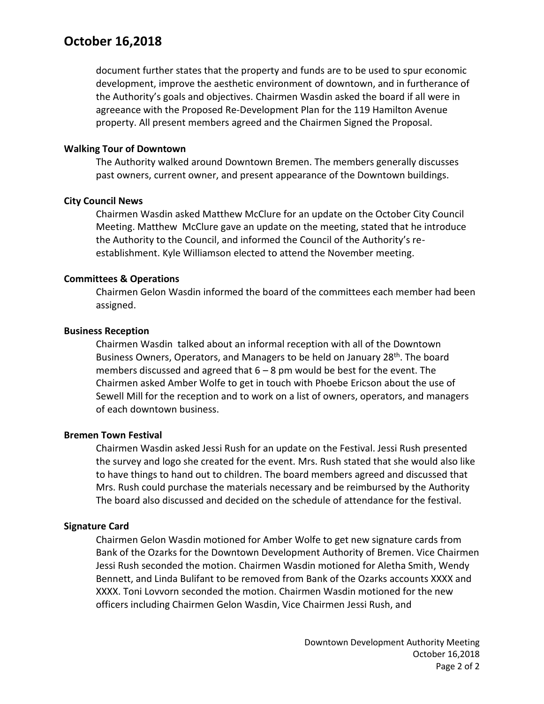# **October 16,2018**

document further states that the property and funds are to be used to spur economic development, improve the aesthetic environment of downtown, and in furtherance of the Authority's goals and objectives. Chairmen Wasdin asked the board if all were in agreeance with the Proposed Re-Development Plan for the 119 Hamilton Avenue property. All present members agreed and the Chairmen Signed the Proposal.

# **Walking Tour of Downtown**

The Authority walked around Downtown Bremen. The members generally discusses past owners, current owner, and present appearance of the Downtown buildings.

# **City Council News**

Chairmen Wasdin asked Matthew McClure for an update on the October City Council Meeting. Matthew McClure gave an update on the meeting, stated that he introduce the Authority to the Council, and informed the Council of the Authority's reestablishment. Kyle Williamson elected to attend the November meeting.

### **Committees & Operations**

Chairmen Gelon Wasdin informed the board of the committees each member had been assigned.

### **Business Reception**

Chairmen Wasdin talked about an informal reception with all of the Downtown Business Owners, Operators, and Managers to be held on January 28<sup>th</sup>. The board members discussed and agreed that  $6 - 8$  pm would be best for the event. The Chairmen asked Amber Wolfe to get in touch with Phoebe Ericson about the use of Sewell Mill for the reception and to work on a list of owners, operators, and managers of each downtown business.

# **Bremen Town Festival**

Chairmen Wasdin asked Jessi Rush for an update on the Festival. Jessi Rush presented the survey and logo she created for the event. Mrs. Rush stated that she would also like to have things to hand out to children. The board members agreed and discussed that Mrs. Rush could purchase the materials necessary and be reimbursed by the Authority The board also discussed and decided on the schedule of attendance for the festival.

# **Signature Card**

Chairmen Gelon Wasdin motioned for Amber Wolfe to get new signature cards from Bank of the Ozarks for the Downtown Development Authority of Bremen. Vice Chairmen Jessi Rush seconded the motion. Chairmen Wasdin motioned for Aletha Smith, Wendy Bennett, and Linda Bulifant to be removed from Bank of the Ozarks accounts XXXX and XXXX. Toni Lovvorn seconded the motion. Chairmen Wasdin motioned for the new officers including Chairmen Gelon Wasdin, Vice Chairmen Jessi Rush, and